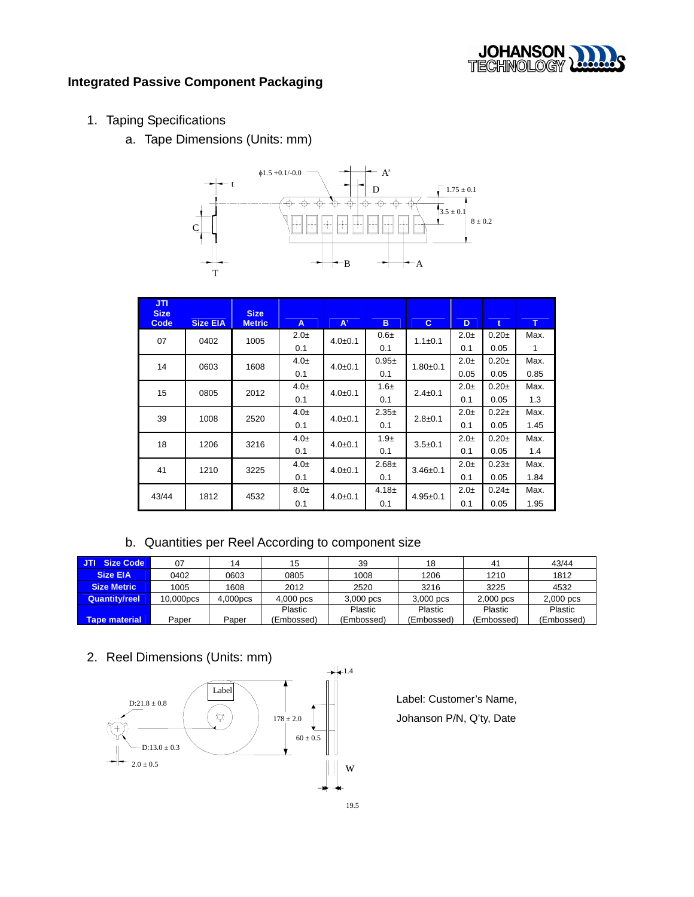

## **Integrated Passive Component Packaging**

- 1. Taping Specifications
	- a. Tape Dimensions (Units: mm)



| <b>JTI</b><br><b>Size</b> |                 | <b>Size</b>   |          |             |            |               |          |             |              |
|---------------------------|-----------------|---------------|----------|-------------|------------|---------------|----------|-------------|--------------|
| Code                      | <b>Size EIA</b> | <b>Metric</b> | A        | $A^*$       | B.         | C.            | D        | $\mathbf t$ | T            |
| 07                        | 0402            | 1005          | $2.0\pm$ | $4.0 + 0.1$ | $0.6\pm$   | $1.1 \pm 0.1$ | $2.0\pm$ | $0.20 +$    | Max.         |
|                           |                 |               | 0.1      |             | 0.1        |               | 0.1      | 0.05        | $\mathbf{1}$ |
| 14                        | 0603            | 1608          | $4.0\pm$ | $4.0 + 0.1$ | $0.95+$    | $1.80 + 0.1$  | $2.0\pm$ | $0.20 +$    | Max.         |
|                           |                 |               | 0.1      |             | 0.1        |               | 0.05     | 0.05        | 0.85         |
| 15                        | 0805            | 2012          | $4.0\pm$ | $4.0 + 0.1$ | $1.6\pm$   | $2.4 \pm 0.1$ | $2.0\pm$ | $0.20 +$    | Max.         |
|                           |                 |               | 0.1      |             | 0.1        |               | 0.1      | 0.05        | 1.3          |
| 39                        | 1008            | 2520          | $4.0\pm$ | $4.0 + 0.1$ | $2.35 \pm$ | $2.8 + 0.1$   | $2.0\pm$ | $0.22 +$    | Max.         |
|                           |                 |               | 0.1      |             | 0.1        |               | 0.1      | 0.05        | 1.45         |
| 18                        | 1206            | 3216          | $4.0\pm$ | $4.0 + 0.1$ | $1.9\pm$   | $3.5 + 0.1$   | $2.0\pm$ | $0.20 +$    | Max.         |
|                           |                 |               | 0.1      |             | 0.1        |               | 0.1      | 0.05        | 1.4          |
| 41                        | 1210            | 3225          | $4.0\pm$ | $4.0 + 0.1$ | $2.68 +$   | $3.46 + 0.1$  | $2.0\pm$ | $0.23+$     | Max.         |
|                           |                 |               | 0.1      |             | 0.1        |               | 0.1      | 0.05        | 1.84         |
| 43/44                     | 1812            | 4532          | $8.0\pm$ | $4.0 + 0.1$ | $4.18 \pm$ | $4.95 + 0.1$  | $2.0\pm$ | $0.24 \pm$  | Max.         |
|                           |                 |               | 0.1      |             | 0.1        |               | 0.1      | 0.05        | 1.95         |

b. Quantities per Reel According to component size

| JTI<br>Size Code   | 07        | 14       | 15         | 39          | 18         | 4 <sup>1</sup> | 43/44       |
|--------------------|-----------|----------|------------|-------------|------------|----------------|-------------|
| <b>Size EIA</b>    | 0402      | 0603     | 0805       | 1008        | 1206       | 1210           | 1812        |
| <b>Size Metric</b> | 1005      | 1608     | 2012       | 2520        | 3216       | 3225           | 4532        |
| Quantity/reel      | 10,000pcs | 4.000pcs | 4,000 pcs  | $3,000$ pcs | 3.000 pcs  | $2,000$ pcs    | $2,000$ pcs |
|                    |           |          | Plastic    | Plastic     | Plastic    | Plastic        | Plastic     |
| Tape material      | Paper     | Paper    | (Embossed) | (Embossed)  | (Embossed) | (Embossed)     | (Embossed)  |

2. Reel Dimensions (Units: mm)



Label: Customer's Name, Johanson P/N, Q'ty, Date